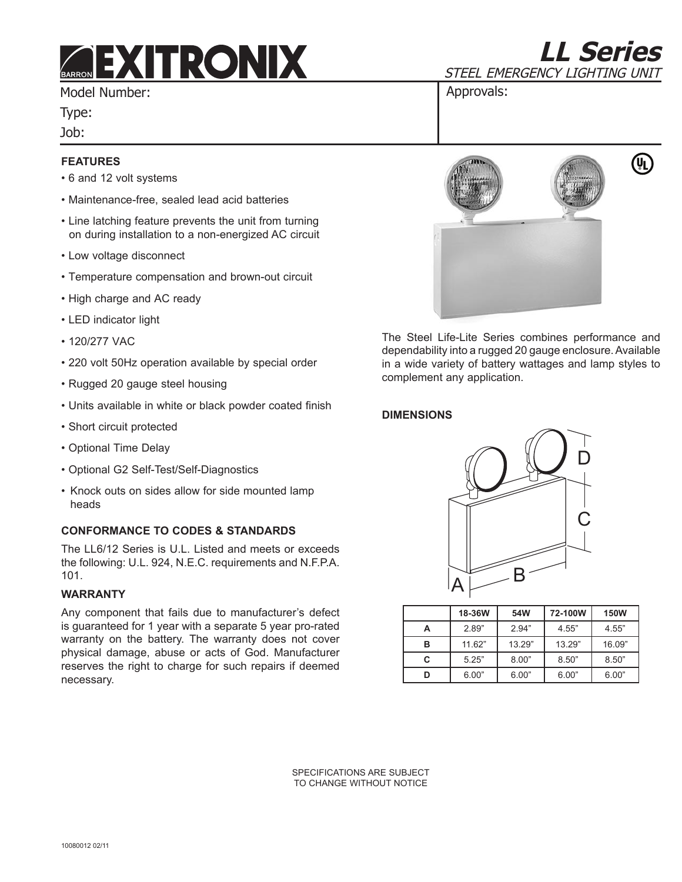# *EXITRONIX*

Model Number:

Type:

Job:

# **Features**

- 6 and 12 volt systems
- Maintenance-free, sealed lead acid batteries
- Line latching feature prevents the unit from turning on during installation to a non-energized AC circuit
- Low voltage disconnect
- Temperature compensation and brown-out circuit
- High charge and AC ready
- LED indicator light
- 120/277 VAC
- 220 volt 50Hz operation available by special order
- Rugged 20 gauge steel housing
- Units available in white or black powder coated finish
- Short circuit protected
- Optional Time Delay
- Optional G2 Self-Test/Self-Diagnostics
- Knock outs on sides allow for side mounted lamp heads

## **CONFORMANCE TO CODES & STANDARDS**

The LL6/12 Series is U.L. Listed and meets or exceeds the following: U.L. 924, N.E.C. requirements and N.F.P.A. 101.

### **Warranty**

Any component that fails due to manufacturer's defect is guaranteed for 1 year with a separate 5 year pro-rated warranty on the battery. The warranty does not cover physical damage, abuse or acts of God. Manufacturer reserves the right to charge for such repairs if deemed necessary.



Approvals:

**LL Series**

(li

sTEEL EMERGENCY LIGHTING UNIT

The Steel Life-Lite Series combines performance and dependability into a rugged 20 gauge enclosure. Available in a wide variety of battery wattages and lamp styles to complement any application.

## **DIMENSIONS**



|   | 18-36W | 54W    | 72-100W | <b>150W</b> |
|---|--------|--------|---------|-------------|
| А | 2.89"  | 2.94"  | 4.55"   | 4.55"       |
| в | 11.62" | 13.29" | 13.29"  | 16.09"      |
| C | 5.25"  | 8.00"  | 8.50"   | 8.50"       |
| D | 6.00"  | 6.00"  | 6.00"   | 6.00"       |

SPECIFICATIONS ARE SUBJECT TO CHANGE WITHOUT NOTICE